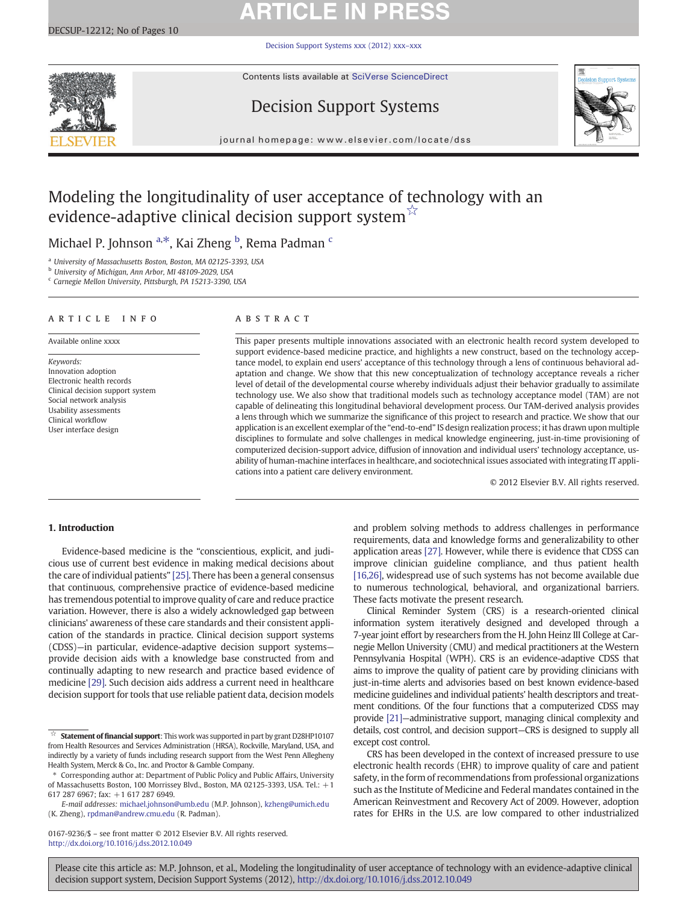# **ARTICLE IN PRESS**

[Decision Support Systems xxx \(2012\) xxx](http://dx.doi.org/10.1016/j.dss.2012.10.049)–xxx

Contents lists available at [SciVerse ScienceDirect](http://www.sciencedirect.com/science/journal/01679236)





journal homepage: www.elsevier.com/locate/dss

## Modeling the longitudinality of user acceptance of technology with an evidence-adaptive clinical decision support system $\sqrt[x]{x}$

Michael P. Johnson <sup>a,\*</sup>, Kai Zheng <sup>b</sup>, Rema Padman <sup>c</sup>

<sup>a</sup> University of Massachusetts Boston, Boston, MA 02125-3393, USA

<sup>b</sup> University of Michigan, Ann Arbor, MI 48109-2029, USA

<sup>c</sup> Carnegie Mellon University, Pittsburgh, PA 15213-3390, USA

### article info abstract

Available online xxxx

Keywords: Innovation adoption Electronic health records Clinical decision support system Social network analysis Usability assessments Clinical workflow User interface design

This paper presents multiple innovations associated with an electronic health record system developed to support evidence-based medicine practice, and highlights a new construct, based on the technology acceptance model, to explain end users' acceptance of this technology through a lens of continuous behavioral adaptation and change. We show that this new conceptualization of technology acceptance reveals a richer level of detail of the developmental course whereby individuals adjust their behavior gradually to assimilate technology use. We also show that traditional models such as technology acceptance model (TAM) are not capable of delineating this longitudinal behavioral development process. Our TAM-derived analysis provides a lens through which we summarize the significance of this project to research and practice. We show that our application is an excellent exemplar of the "end-to-end" IS design realization process; it has drawn upon multiple disciplines to formulate and solve challenges in medical knowledge engineering, just-in-time provisioning of computerized decision-support advice, diffusion of innovation and individual users' technology acceptance, usability of human-machine interfaces in healthcare, and sociotechnical issues associated with integrating IT applications into a patient care delivery environment.

© 2012 Elsevier B.V. All rights reserved.

### 1. Introduction

Evidence-based medicine is the "conscientious, explicit, and judicious use of current best evidence in making medical decisions about the care of individual patients" [\[25\].](#page--1-0) There has been a general consensus that continuous, comprehensive practice of evidence-based medicine has tremendous potential to improve quality of care and reduce practice variation. However, there is also a widely acknowledged gap between clinicians' awareness of these care standards and their consistent application of the standards in practice. Clinical decision support systems (CDSS)—in particular, evidence-adaptive decision support systems provide decision aids with a knowledge base constructed from and continually adapting to new research and practice based evidence of medicine [\[29\].](#page--1-0) Such decision aids address a current need in healthcare decision support for tools that use reliable patient data, decision models

0167-9236/\$ – see front matter © 2012 Elsevier B.V. All rights reserved. <http://dx.doi.org/10.1016/j.dss.2012.10.049>

and problem solving methods to address challenges in performance requirements, data and knowledge forms and generalizability to other application areas [\[27\]](#page--1-0). However, while there is evidence that CDSS can improve clinician guideline compliance, and thus patient health [\[16,26\],](#page--1-0) widespread use of such systems has not become available due to numerous technological, behavioral, and organizational barriers. These facts motivate the present research.

Clinical Reminder System (CRS) is a research-oriented clinical information system iteratively designed and developed through a 7-year joint effort by researchers from the H. John Heinz III College at Carnegie Mellon University (CMU) and medical practitioners at the Western Pennsylvania Hospital (WPH). CRS is an evidence-adaptive CDSS that aims to improve the quality of patient care by providing clinicians with just-in-time alerts and advisories based on best known evidence-based medicine guidelines and individual patients' health descriptors and treatment conditions. Of the four functions that a computerized CDSS may provide [\[21\]](#page--1-0)—administrative support, managing clinical complexity and details, cost control, and decision support—CRS is designed to supply all except cost control.

CRS has been developed in the context of increased pressure to use electronic health records (EHR) to improve quality of care and patient safety, in the form of recommendations from professional organizations such as the Institute of Medicine and Federal mandates contained in the American Reinvestment and Recovery Act of 2009. However, adoption rates for EHRs in the U.S. are low compared to other industrialized

Please cite this article as: M.P. Johnson, et al., Modeling the longitudinality of user acceptance of technology with an evidence-adaptive clinical decision support system, Decision Support Systems (2012), <http://dx.doi.org/10.1016/j.dss.2012.10.049>

Statement of financial support: This work was supported in part by grant D28HP10107 from Health Resources and Services Administration (HRSA), Rockville, Maryland, USA, and indirectly by a variety of funds including research support from the West Penn Allegheny Health System, Merck & Co., Inc. and Proctor & Gamble Company.

<sup>⁎</sup> Corresponding author at: Department of Public Policy and Public Affairs, University of Massachusetts Boston, 100 Morrissey Blvd., Boston, MA 02125-3393, USA. Tel.: +1 617 287 6967; fax: +1 617 287 6949.

E-mail addresses: [michael.johnson@umb.edu](mailto:michael.johnson@umb.edu) (M.P. Johnson), [kzheng@umich.edu](mailto:kzheng@umich.edu) (K. Zheng), [rpdman@andrew.cmu.edu](mailto:rpdman@andrew.cmu.edu) (R. Padman).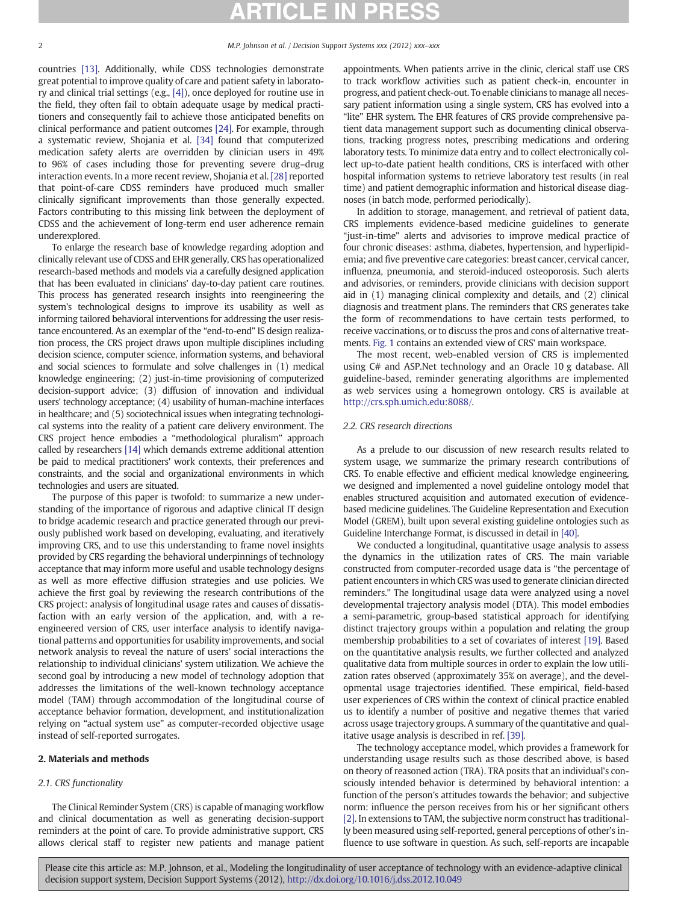countries [\[13\].](#page--1-0) Additionally, while CDSS technologies demonstrate great potential to improve quality of care and patient safety in laboratory and clinical trial settings (e.g., [\[4\]\)](#page--1-0), once deployed for routine use in the field, they often fail to obtain adequate usage by medical practitioners and consequently fail to achieve those anticipated benefits on clinical performance and patient outcomes [\[24\]](#page--1-0). For example, through a systematic review, Shojania et al. [\[34\]](#page--1-0) found that computerized medication safety alerts are overridden by clinician users in 49% to 96% of cases including those for preventing severe drug–drug interaction events. In a more recent review, Shojania et al. [\[28\]](#page--1-0) reported that point-of-care CDSS reminders have produced much smaller clinically significant improvements than those generally expected. Factors contributing to this missing link between the deployment of CDSS and the achievement of long-term end user adherence remain underexplored.

To enlarge the research base of knowledge regarding adoption and clinically relevant use of CDSS and EHR generally, CRS has operationalized research-based methods and models via a carefully designed application that has been evaluated in clinicians' day-to-day patient care routines. This process has generated research insights into reengineering the system's technological designs to improve its usability as well as informing tailored behavioral interventions for addressing the user resistance encountered. As an exemplar of the "end-to-end" IS design realization process, the CRS project draws upon multiple disciplines including decision science, computer science, information systems, and behavioral and social sciences to formulate and solve challenges in (1) medical knowledge engineering; (2) just-in-time provisioning of computerized decision-support advice; (3) diffusion of innovation and individual users' technology acceptance; (4) usability of human-machine interfaces in healthcare; and (5) sociotechnical issues when integrating technological systems into the reality of a patient care delivery environment. The CRS project hence embodies a "methodological pluralism" approach called by researchers [\[14\]](#page--1-0) which demands extreme additional attention be paid to medical practitioners' work contexts, their preferences and constraints, and the social and organizational environments in which technologies and users are situated.

The purpose of this paper is twofold: to summarize a new understanding of the importance of rigorous and adaptive clinical IT design to bridge academic research and practice generated through our previously published work based on developing, evaluating, and iteratively improving CRS, and to use this understanding to frame novel insights provided by CRS regarding the behavioral underpinnings of technology acceptance that may inform more useful and usable technology designs as well as more effective diffusion strategies and use policies. We achieve the first goal by reviewing the research contributions of the CRS project: analysis of longitudinal usage rates and causes of dissatisfaction with an early version of the application, and, with a reengineered version of CRS, user interface analysis to identify navigational patterns and opportunities for usability improvements, and social network analysis to reveal the nature of users' social interactions the relationship to individual clinicians' system utilization. We achieve the second goal by introducing a new model of technology adoption that addresses the limitations of the well-known technology acceptance model (TAM) through accommodation of the longitudinal course of acceptance behavior formation, development, and institutionalization relying on "actual system use" as computer-recorded objective usage instead of self-reported surrogates.

### 2. Materials and methods

### 2.1. CRS functionality

The Clinical Reminder System (CRS) is capable of managing workflow and clinical documentation as well as generating decision-support reminders at the point of care. To provide administrative support, CRS allows clerical staff to register new patients and manage patient appointments. When patients arrive in the clinic, clerical staff use CRS to track workflow activities such as patient check-in, encounter in progress, and patient check-out. To enable clinicians to manage all necessary patient information using a single system, CRS has evolved into a "lite" EHR system. The EHR features of CRS provide comprehensive patient data management support such as documenting clinical observations, tracking progress notes, prescribing medications and ordering laboratory tests. To minimize data entry and to collect electronically collect up-to-date patient health conditions, CRS is interfaced with other hospital information systems to retrieve laboratory test results (in real time) and patient demographic information and historical disease diagnoses (in batch mode, performed periodically).

In addition to storage, management, and retrieval of patient data, CRS implements evidence-based medicine guidelines to generate "just-in-time" alerts and advisories to improve medical practice of four chronic diseases: asthma, diabetes, hypertension, and hyperlipidemia; and five preventive care categories: breast cancer, cervical cancer, influenza, pneumonia, and steroid-induced osteoporosis. Such alerts and advisories, or reminders, provide clinicians with decision support aid in (1) managing clinical complexity and details, and (2) clinical diagnosis and treatment plans. The reminders that CRS generates take the form of recommendations to have certain tests performed, to receive vaccinations, or to discuss the pros and cons of alternative treatments. [Fig. 1](#page--1-0) contains an extended view of CRS' main workspace.

The most recent, web-enabled version of CRS is implemented using C# and ASP.Net technology and an Oracle 10 g database. All guideline-based, reminder generating algorithms are implemented as web services using a homegrown ontology. CRS is available at [http://crs.sph.umich.edu:8088/.](http://crs.sph.umich.edu:8088/)

### 2.2. CRS research directions

As a prelude to our discussion of new research results related to system usage, we summarize the primary research contributions of CRS. To enable effective and efficient medical knowledge engineering, we designed and implemented a novel guideline ontology model that enables structured acquisition and automated execution of evidencebased medicine guidelines. The Guideline Representation and Execution Model (GREM), built upon several existing guideline ontologies such as Guideline Interchange Format, is discussed in detail in [\[40\]](#page--1-0).

We conducted a longitudinal, quantitative usage analysis to assess the dynamics in the utilization rates of CRS. The main variable constructed from computer-recorded usage data is "the percentage of patient encounters in which CRS was used to generate clinician directed reminders." The longitudinal usage data were analyzed using a novel developmental trajectory analysis model (DTA). This model embodies a semi-parametric, group-based statistical approach for identifying distinct trajectory groups within a population and relating the group membership probabilities to a set of covariates of interest [\[19\].](#page--1-0) Based on the quantitative analysis results, we further collected and analyzed qualitative data from multiple sources in order to explain the low utilization rates observed (approximately 35% on average), and the developmental usage trajectories identified. These empirical, field-based user experiences of CRS within the context of clinical practice enabled us to identify a number of positive and negative themes that varied across usage trajectory groups. A summary of the quantitative and qualitative usage analysis is described in ref. [\[39\].](#page--1-0)

The technology acceptance model, which provides a framework for understanding usage results such as those described above, is based on theory of reasoned action (TRA). TRA posits that an individual's consciously intended behavior is determined by behavioral intention: a function of the person's attitudes towards the behavior; and subjective norm: influence the person receives from his or her significant others [\[2\].](#page--1-0) In extensions to TAM, the subjective norm construct has traditionally been measured using self-reported, general perceptions of other's influence to use software in question. As such, self-reports are incapable

Please cite this article as: M.P. Johnson, et al., Modeling the longitudinality of user acceptance of technology with an evidence-adaptive clinical decision support system, Decision Support Systems (2012), <http://dx.doi.org/10.1016/j.dss.2012.10.049>